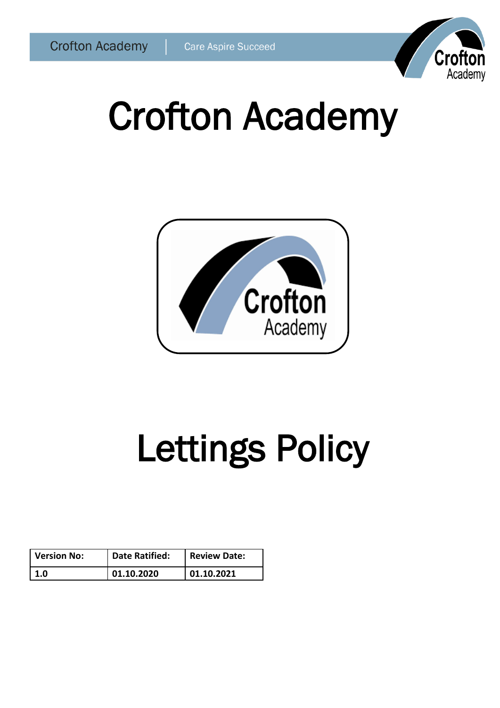

# Crofton Academy



# Lettings Policy

| <b>Version No:</b> | <b>Date Ratified:</b> | <b>Review Date:</b> |
|--------------------|-----------------------|---------------------|
| 1.0                | 01.10.2020            | 01.10.2021          |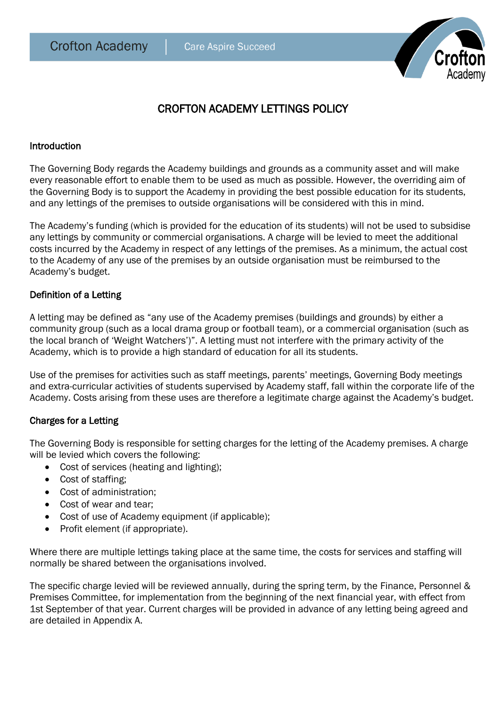

# CROFTON ACADEMY LETTINGS POLICY

#### Introduction

The Governing Body regards the Academy buildings and grounds as a community asset and will make every reasonable effort to enable them to be used as much as possible. However, the overriding aim of the Governing Body is to support the Academy in providing the best possible education for its students, and any lettings of the premises to outside organisations will be considered with this in mind.

The Academy's funding (which is provided for the education of its students) will not be used to subsidise any lettings by community or commercial organisations. A charge will be levied to meet the additional costs incurred by the Academy in respect of any lettings of the premises. As a minimum, the actual cost to the Academy of any use of the premises by an outside organisation must be reimbursed to the Academy's budget.

# Definition of a Letting

A letting may be defined as "any use of the Academy premises (buildings and grounds) by either a community group (such as a local drama group or football team), or a commercial organisation (such as the local branch of 'Weight Watchers')". A letting must not interfere with the primary activity of the Academy, which is to provide a high standard of education for all its students.

Use of the premises for activities such as staff meetings, parents' meetings, Governing Body meetings and extra-curricular activities of students supervised by Academy staff, fall within the corporate life of the Academy. Costs arising from these uses are therefore a legitimate charge against the Academy's budget.

# Charges for a Letting

The Governing Body is responsible for setting charges for the letting of the Academy premises. A charge will be levied which covers the following:

- Cost of services (heating and lighting);
- Cost of staffing;
- Cost of administration:
- Cost of wear and tear:
- Cost of use of Academy equipment (if applicable);
- Profit element (if appropriate).

Where there are multiple lettings taking place at the same time, the costs for services and staffing will normally be shared between the organisations involved.

The specific charge levied will be reviewed annually, during the spring term, by the Finance, Personnel & Premises Committee, for implementation from the beginning of the next financial year, with effect from 1st September of that year. Current charges will be provided in advance of any letting being agreed and are detailed in Appendix A.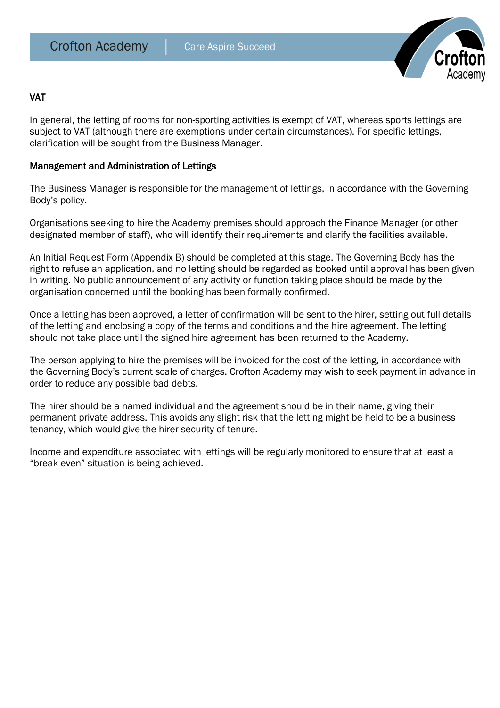

#### **VAT**

In general, the letting of rooms for non-sporting activities is exempt of VAT, whereas sports lettings are subject to VAT (although there are exemptions under certain circumstances). For specific lettings, clarification will be sought from the Business Manager.

#### Management and Administration of Lettings

The Business Manager is responsible for the management of lettings, in accordance with the Governing Body's policy.

Organisations seeking to hire the Academy premises should approach the Finance Manager (or other designated member of staff), who will identify their requirements and clarify the facilities available.

An Initial Request Form (Appendix B) should be completed at this stage. The Governing Body has the right to refuse an application, and no letting should be regarded as booked until approval has been given in writing. No public announcement of any activity or function taking place should be made by the organisation concerned until the booking has been formally confirmed.

Once a letting has been approved, a letter of confirmation will be sent to the hirer, setting out full details of the letting and enclosing a copy of the terms and conditions and the hire agreement. The letting should not take place until the signed hire agreement has been returned to the Academy.

The person applying to hire the premises will be invoiced for the cost of the letting, in accordance with the Governing Body's current scale of charges. Crofton Academy may wish to seek payment in advance in order to reduce any possible bad debts.

The hirer should be a named individual and the agreement should be in their name, giving their permanent private address. This avoids any slight risk that the letting might be held to be a business tenancy, which would give the hirer security of tenure.

Income and expenditure associated with lettings will be regularly monitored to ensure that at least a "break even" situation is being achieved.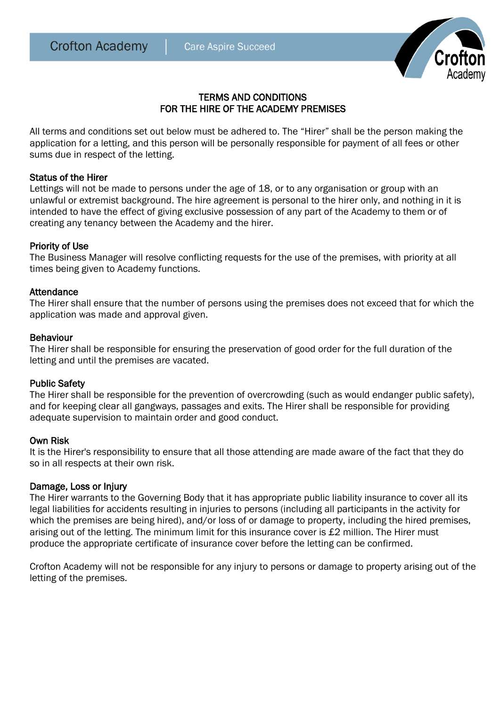

# TERMS AND CONDITIONS FOR THE HIRE OF THE ACADEMY PREMISES

All terms and conditions set out below must be adhered to. The "Hirer" shall be the person making the application for a letting, and this person will be personally responsible for payment of all fees or other sums due in respect of the letting.

#### Status of the Hirer

Lettings will not be made to persons under the age of 18, or to any organisation or group with an unlawful or extremist background. The hire agreement is personal to the hirer only, and nothing in it is intended to have the effect of giving exclusive possession of any part of the Academy to them or of creating any tenancy between the Academy and the hirer.

# Priority of Use

The Business Manager will resolve conflicting requests for the use of the premises, with priority at all times being given to Academy functions.

#### Attendance

The Hirer shall ensure that the number of persons using the premises does not exceed that for which the application was made and approval given.

#### Behaviour

The Hirer shall be responsible for ensuring the preservation of good order for the full duration of the letting and until the premises are vacated.

#### Public Safety

The Hirer shall be responsible for the prevention of overcrowding (such as would endanger public safety), and for keeping clear all gangways, passages and exits. The Hirer shall be responsible for providing adequate supervision to maintain order and good conduct.

#### Own Risk

It is the Hirer's responsibility to ensure that all those attending are made aware of the fact that they do so in all respects at their own risk.

#### Damage, Loss or Injury

The Hirer warrants to the Governing Body that it has appropriate public liability insurance to cover all its legal liabilities for accidents resulting in injuries to persons (including all participants in the activity for which the premises are being hired), and/or loss of or damage to property, including the hired premises, arising out of the letting. The minimum limit for this insurance cover is £2 million. The Hirer must produce the appropriate certificate of insurance cover before the letting can be confirmed.

Crofton Academy will not be responsible for any injury to persons or damage to property arising out of the letting of the premises.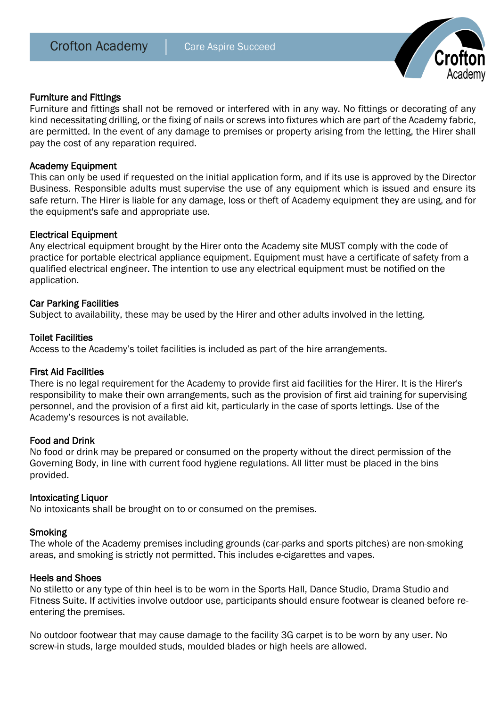

#### Furniture and Fittings

Furniture and fittings shall not be removed or interfered with in any way. No fittings or decorating of any kind necessitating drilling, or the fixing of nails or screws into fixtures which are part of the Academy fabric, are permitted. In the event of any damage to premises or property arising from the letting, the Hirer shall pay the cost of any reparation required.

#### Academy Equipment

This can only be used if requested on the initial application form, and if its use is approved by the Director Business. Responsible adults must supervise the use of any equipment which is issued and ensure its safe return. The Hirer is liable for any damage, loss or theft of Academy equipment they are using, and for the equipment's safe and appropriate use.

#### Electrical Equipment

Any electrical equipment brought by the Hirer onto the Academy site MUST comply with the code of practice for portable electrical appliance equipment. Equipment must have a certificate of safety from a qualified electrical engineer. The intention to use any electrical equipment must be notified on the application.

#### Car Parking Facilities

Subject to availability, these may be used by the Hirer and other adults involved in the letting.

#### Toilet Facilities

Access to the Academy's toilet facilities is included as part of the hire arrangements.

#### First Aid Facilities

There is no legal requirement for the Academy to provide first aid facilities for the Hirer. It is the Hirer's responsibility to make their own arrangements, such as the provision of first aid training for supervising personnel, and the provision of a first aid kit, particularly in the case of sports lettings. Use of the Academy's resources is not available.

#### Food and Drink

No food or drink may be prepared or consumed on the property without the direct permission of the Governing Body, in line with current food hygiene regulations. All litter must be placed in the bins provided.

#### Intoxicating Liquor

No intoxicants shall be brought on to or consumed on the premises.

#### Smoking

The whole of the Academy premises including grounds (car-parks and sports pitches) are non-smoking areas, and smoking is strictly not permitted. This includes e-cigarettes and vapes.

#### Heels and Shoes

No stiletto or any type of thin heel is to be worn in the Sports Hall, Dance Studio, Drama Studio and Fitness Suite. If activities involve outdoor use, participants should ensure footwear is cleaned before reentering the premises.

No outdoor footwear that may cause damage to the facility 3G carpet is to be worn by any user. No screw-in studs, large moulded studs, moulded blades or high heels are allowed.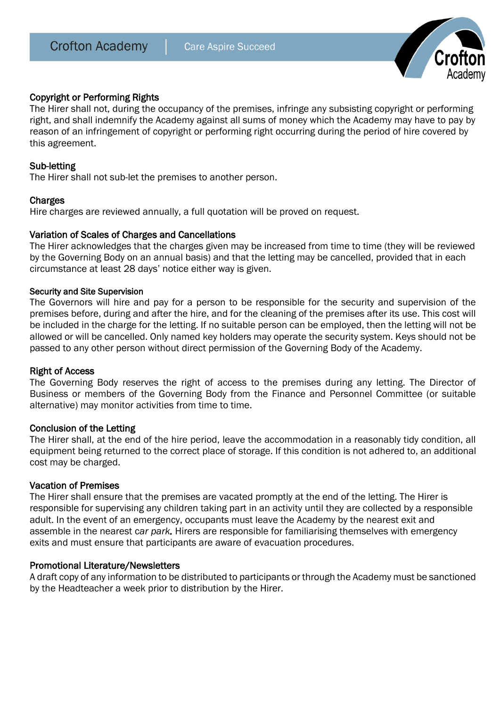

### Copyright or Performing Rights

The Hirer shall not, during the occupancy of the premises, infringe any subsisting copyright or performing right, and shall indemnify the Academy against all sums of money which the Academy may have to pay by reason of an infringement of copyright or performing right occurring during the period of hire covered by this agreement.

#### Sub-letting

The Hirer shall not sub-let the premises to another person.

#### **Charges**

Hire charges are reviewed annually, a full quotation will be proved on request.

#### Variation of Scales of Charges and Cancellations

The Hirer acknowledges that the charges given may be increased from time to time (they will be reviewed by the Governing Body on an annual basis) and that the letting may be cancelled, provided that in each circumstance at least 28 days' notice either way is given.

#### Security and Site Supervision

The Governors will hire and pay for a person to be responsible for the security and supervision of the premises before, during and after the hire, and for the cleaning of the premises after its use. This cost will be included in the charge for the letting. If no suitable person can be employed, then the letting will not be allowed or will be cancelled. Only named key holders may operate the security system. Keys should not be passed to any other person without direct permission of the Governing Body of the Academy.

#### Right of Access

The Governing Body reserves the right of access to the premises during any letting. The Director of Business or members of the Governing Body from the Finance and Personnel Committee (or suitable alternative) may monitor activities from time to time.

#### Conclusion of the Letting

The Hirer shall, at the end of the hire period, leave the accommodation in a reasonably tidy condition, all equipment being returned to the correct place of storage. If this condition is not adhered to, an additional cost may be charged.

#### Vacation of Premises

The Hirer shall ensure that the premises are vacated promptly at the end of the letting. The Hirer is responsible for supervising any children taking part in an activity until they are collected by a responsible adult. In the event of an emergency, occupants must leave the Academy by the nearest exit and assemble in the nearest c*ar park.* Hirers are responsible for familiarising themselves with emergency exits and must ensure that participants are aware of evacuation procedures.

#### Promotional Literature/Newsletters

A draft copy of any information to be distributed to participants or through the Academy must be sanctioned by the Headteacher a week prior to distribution by the Hirer.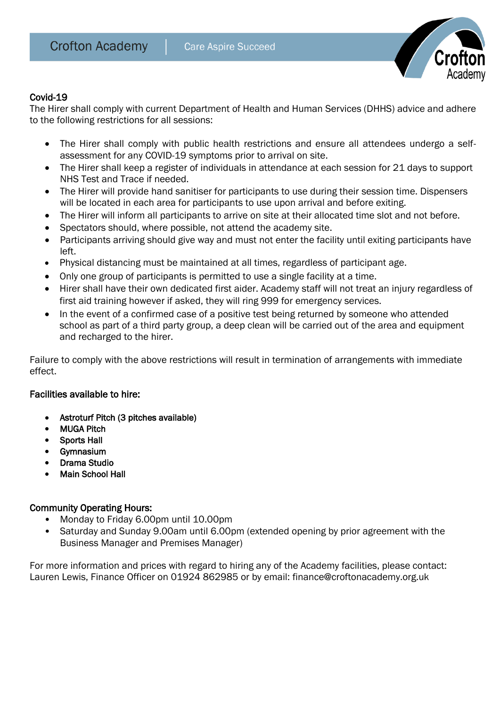

# Covid-19

The Hirer shall comply with current Department of Health and Human Services (DHHS) advice and adhere to the following restrictions for all sessions:

- The Hirer shall comply with public health restrictions and ensure all attendees undergo a selfassessment for any COVID-19 symptoms prior to arrival on site.
- The Hirer shall keep a register of individuals in attendance at each session for 21 days to support NHS Test and Trace if needed.
- The Hirer will provide hand sanitiser for participants to use during their session time. Dispensers will be located in each area for participants to use upon arrival and before exiting.
- The Hirer will inform all participants to arrive on site at their allocated time slot and not before.
- Spectators should, where possible, not attend the academy site.
- Participants arriving should give way and must not enter the facility until exiting participants have left.
- Physical distancing must be maintained at all times, regardless of participant age.
- Only one group of participants is permitted to use a single facility at a time.
- Hirer shall have their own dedicated first aider. Academy staff will not treat an injury regardless of first aid training however if asked, they will ring 999 for emergency services.
- In the event of a confirmed case of a positive test being returned by someone who attended school as part of a third party group, a deep clean will be carried out of the area and equipment and recharged to the hirer.

Failure to comply with the above restrictions will result in termination of arrangements with immediate effect.

# Facilities available to hire:

- Astroturf Pitch (3 pitches available)
- MUGA Pitch
- Sports Hall
- Gymnasium
- Drama Studio
- Main School Hall

# Community Operating Hours:

- Monday to Friday 6.00pm until 10.00pm
- Saturday and Sunday 9.00am until 6.00pm (extended opening by prior agreement with the Business Manager and Premises Manager)

For more information and prices with regard to hiring any of the Academy facilities, please contact: Lauren Lewis, Finance Officer on 01924 862985 or by email: finance@croftonacademy.org.uk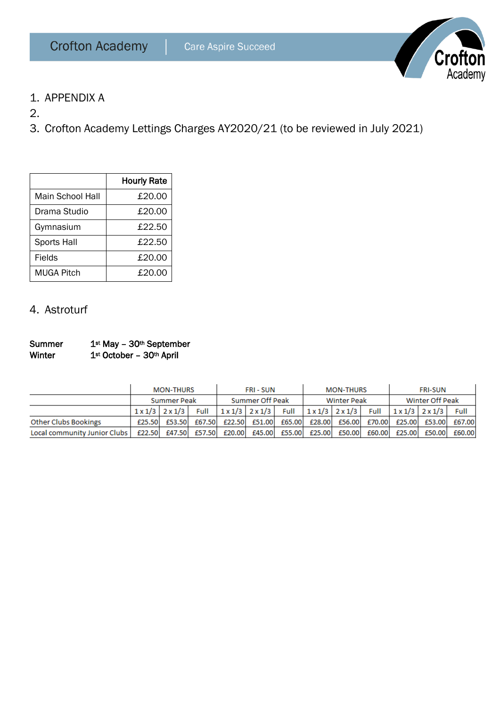

- 1. APPENDIX A
- 2.
- 3. Crofton Academy Lettings Charges AY2020/21 (to be reviewed in July 2021)

|                  | <b>Hourly Rate</b> |
|------------------|--------------------|
| Main School Hall | £20.00             |
| Drama Studio     | £20.00             |
| Gymnasium        | £22.50             |
| Sports Hall      | £22.50             |
| Fields           | £20.00             |
| MUGA Pitch       | £20.00             |

# 4. Astroturf

Summer 1st May - 30th September Winter 1st October - 30th April

|                              | <b>MON-THURS</b>   |                                 | <b>FRI-SUN</b>  |        | <b>MON-THURS</b>                |        | <b>FRI-SUN</b>  |                                 |             |                               |        |        |
|------------------------------|--------------------|---------------------------------|-----------------|--------|---------------------------------|--------|-----------------|---------------------------------|-------------|-------------------------------|--------|--------|
|                              | <b>Summer Peak</b> |                                 | Summer Off Peak |        | <b>Winter Peak</b>              |        | Winter Off Peak |                                 |             |                               |        |        |
|                              |                    | $1 \times 1/3$   $2 \times 1/3$ | Full            |        | $1 \times 1/3$   $2 \times 1/3$ | Full   |                 | $1 \times 1/3$   $2 \times 1/3$ | <b>Full</b> | $1 \times 1/3$ 2 $\times 1/3$ |        | Full   |
| <b>Other Clubs Bookings</b>  | £25.50             | £53.50                          | £67.50          | £22.50 | £51.00                          | £65.00 | £28.00          | £56.00                          | £70.00      | £25.00                        | £53.00 | £67.00 |
| Local community Junior Clubs | £22.50             | £47.50                          | £57.50          | £20.00 | £45.00                          | £55.00 | £25.00          | £50.00                          | £60.00      | £25.00                        | £50.00 | £60.00 |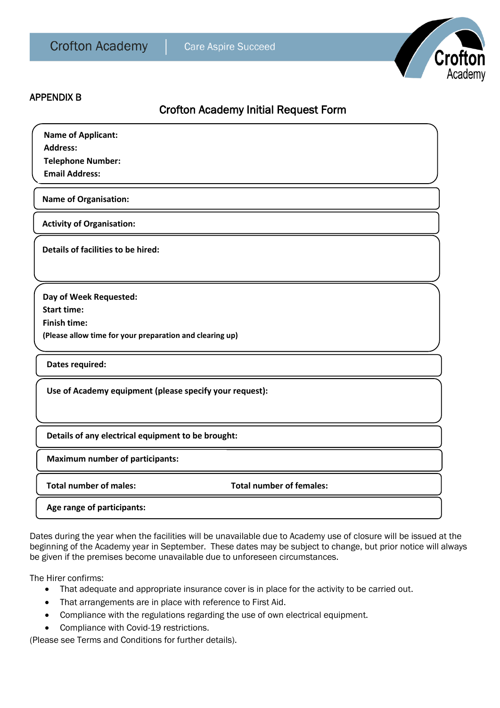

#### APPENDIX B

# Crofton Academy Initial Request Form

| <b>Name of Applicant:</b> |  |  |  |
|---------------------------|--|--|--|
| <b>Address:</b>           |  |  |  |
| <b>Telephone Number:</b>  |  |  |  |
| <b>Email Address:</b>     |  |  |  |

**Name of Organisation:** 

**Activity of Organisation:**

**Details of facilities to be hired:**

**Day of Week Requested: Start time: Finish time: (Please allow time for your preparation and clearing up)**

**Dates required:**

**Use of Academy equipment (please specify your request):**

**Details of any electrical equipment to be brought:**

**Maximum number of participants:**

**Total number of males: Total number of females:**

**Age range of participants:**

Dates during the year when the facilities will be unavailable due to Academy use of closure will be issued at the beginning of the Academy year in September. These dates may be subject to change, but prior notice will always be given if the premises become unavailable due to unforeseen circumstances.

The Hirer confirms:

- That adequate and appropriate insurance cover is in place for the activity to be carried out.
- That arrangements are in place with reference to First Aid.
- Compliance with the regulations regarding the use of own electrical equipment.
- Compliance with Covid-19 restrictions.

(Please see Terms and Conditions for further details).